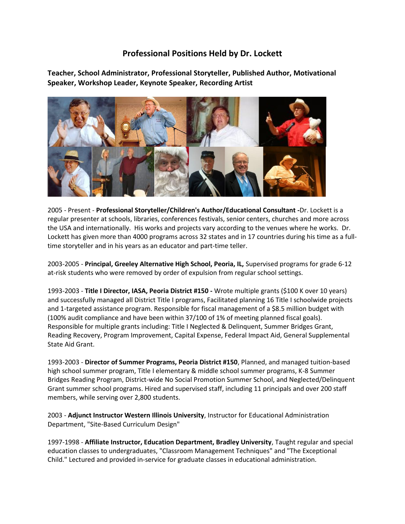## **Professional Positions Held by Dr. Lockett**

**Teacher, School Administrator, Professional Storyteller, Published Author, Motivational Speaker, Workshop Leader, Keynote Speaker, Recording Artist**



2005 - Present - **Professional Storyteller/Children's Author/Educational Consultant -**Dr. Lockett is a regular presenter at schools, libraries, conferences festivals, senior centers, churches and more across the USA and internationally. His works and projects vary according to the venues where he works. Dr. Lockett has given more than 4000 programs across 32 states and in 17 countries during his time as a fulltime storyteller and in his years as an educator and part-time teller.

2003-2005 - **Principal, Greeley Alternative High School, Peoria, IL,** Supervised programs for grade 6-12 at-risk students who were removed by order of expulsion from regular school settings.

1993-2003 - **Title I Director, IASA, Peoria District #150 -** Wrote multiple grants (\$100 K over 10 years) and successfully managed all District Title I programs, Facilitated planning 16 Title I schoolwide projects and 1-targeted assistance program. Responsible for fiscal management of a \$8.5 million budget with (100% audit compliance and have been within 37/100 of 1% of meeting planned fiscal goals). Responsible for multiple grants including: Title I Neglected & Delinquent, Summer Bridges Grant, Reading Recovery, Program Improvement, Capital Expense, Federal Impact Aid, General Supplemental State Aid Grant.

1993-2003 - **Director of Summer Programs, Peoria District #150**, Planned, and managed tuition-based high school summer program, Title I elementary & middle school summer programs, K-8 Summer Bridges Reading Program, District-wide No Social Promotion Summer School, and Neglected/Delinquent Grant summer school programs. Hired and supervised staff, including 11 principals and over 200 staff members, while serving over 2,800 students.

2003 - **Adjunct Instructor Western Illinois University**, Instructor for Educational Administration Department, "Site-Based Curriculum Design"

1997-1998 - **Affiliate Instructor, Education Department, Bradley University**, Taught regular and special education classes to undergraduates, "Classroom Management Techniques" and "The Exceptional Child." Lectured and provided in-service for graduate classes in educational administration.